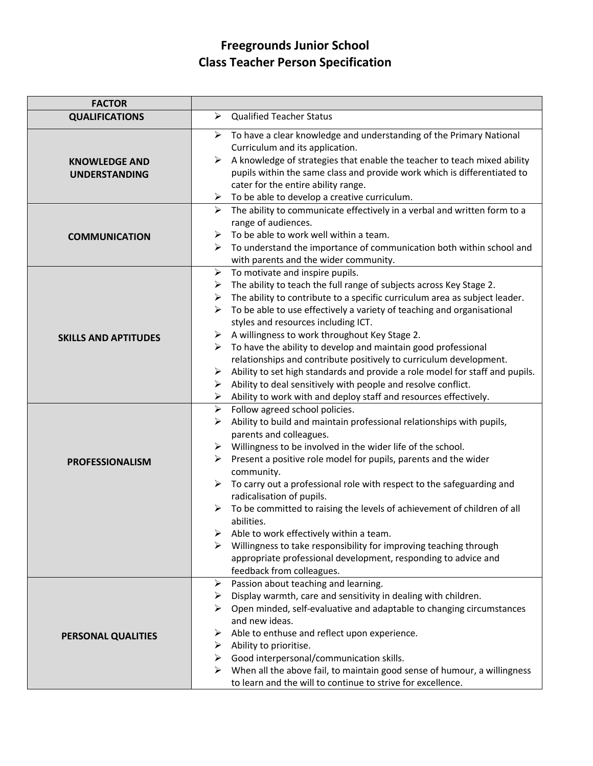# **Freegrounds Junior School Class Teacher Person Specification**

| <b>FACTOR</b>                                |                                                                                                                                                                                                                                                                                                                                                                                                                                                                                                                                                                                                                                                                                                                                                                                                         |
|----------------------------------------------|---------------------------------------------------------------------------------------------------------------------------------------------------------------------------------------------------------------------------------------------------------------------------------------------------------------------------------------------------------------------------------------------------------------------------------------------------------------------------------------------------------------------------------------------------------------------------------------------------------------------------------------------------------------------------------------------------------------------------------------------------------------------------------------------------------|
| <b>QUALIFICATIONS</b>                        | <b>Qualified Teacher Status</b><br>$\blacktriangleright$                                                                                                                                                                                                                                                                                                                                                                                                                                                                                                                                                                                                                                                                                                                                                |
| <b>KNOWLEDGE AND</b><br><b>UNDERSTANDING</b> | $\triangleright$ To have a clear knowledge and understanding of the Primary National<br>Curriculum and its application.<br>A knowledge of strategies that enable the teacher to teach mixed ability<br>➤<br>pupils within the same class and provide work which is differentiated to<br>cater for the entire ability range.<br>$\triangleright$ To be able to develop a creative curriculum.                                                                                                                                                                                                                                                                                                                                                                                                            |
| <b>COMMUNICATION</b>                         | $\blacktriangleright$<br>The ability to communicate effectively in a verbal and written form to a<br>range of audiences.<br>To be able to work well within a team.<br>≻<br>To understand the importance of communication both within school and<br>➤<br>with parents and the wider community.                                                                                                                                                                                                                                                                                                                                                                                                                                                                                                           |
| <b>SKILLS AND APTITUDES</b>                  | $\blacktriangleright$<br>To motivate and inspire pupils.<br>The ability to teach the full range of subjects across Key Stage 2.<br>➤<br>The ability to contribute to a specific curriculum area as subject leader.<br>➤<br>To be able to use effectively a variety of teaching and organisational<br>≻<br>styles and resources including ICT.<br>A willingness to work throughout Key Stage 2.<br>➤<br>To have the ability to develop and maintain good professional<br>➤<br>relationships and contribute positively to curriculum development.<br>Ability to set high standards and provide a role model for staff and pupils.<br>$\blacktriangleright$<br>Ability to deal sensitively with people and resolve conflict.<br>≻<br>Ability to work with and deploy staff and resources effectively.<br>≻ |
| <b>PROFESSIONALISM</b>                       | $\blacktriangleright$<br>Follow agreed school policies.<br>Ability to build and maintain professional relationships with pupils,<br>≻<br>parents and colleagues.<br>Willingness to be involved in the wider life of the school.<br>➤<br>Present a positive role model for pupils, parents and the wider<br>➤<br>community.<br>$\blacktriangleright$<br>To carry out a professional role with respect to the safeguarding and<br>radicalisation of pupils.<br>$\blacktriangleright$<br>To be committed to raising the levels of achievement of children of all<br>abilities.<br>Able to work effectively within a team.<br>Willingness to take responsibility for improving teaching through<br>appropriate professional development, responding to advice and<br>feedback from colleagues.              |
| PERSONAL QUALITIES                           | Passion about teaching and learning.<br>➤<br>Display warmth, care and sensitivity in dealing with children.<br>➤<br>Open minded, self-evaluative and adaptable to changing circumstances<br>and new ideas.<br>Able to enthuse and reflect upon experience.<br>⋗<br>$\triangleright$ Ability to prioritise.<br>$\triangleright$ Good interpersonal/communication skills.<br>When all the above fail, to maintain good sense of humour, a willingness<br>➤<br>to learn and the will to continue to strive for excellence.                                                                                                                                                                                                                                                                                 |